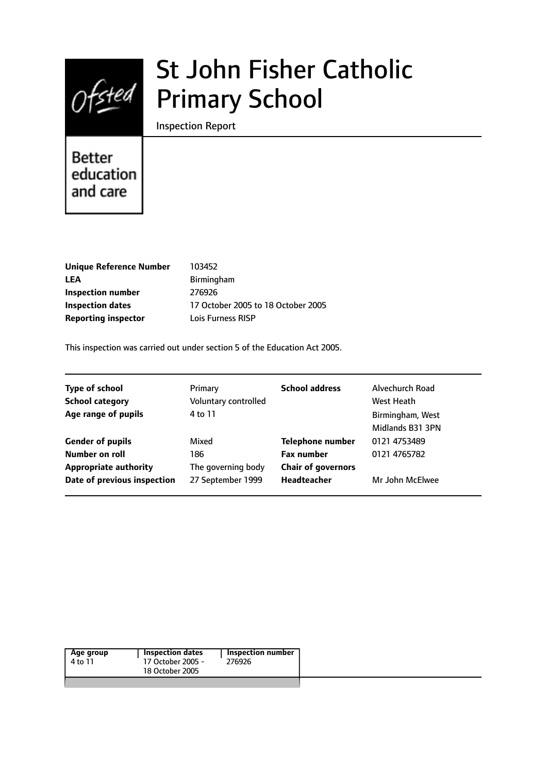

# St John Fisher Catholic Primary School

Inspection Report

# Better education and care

| <b>Unique Reference Number</b> | 103452                             |
|--------------------------------|------------------------------------|
| LEA                            | <b>Birmingham</b>                  |
| <b>Inspection number</b>       | 276926                             |
| <b>Inspection dates</b>        | 17 October 2005 to 18 October 2005 |
| <b>Reporting inspector</b>     | Lois Furness RISP                  |
|                                |                                    |

This inspection was carried out under section 5 of the Education Act 2005.

| <b>Type of school</b><br><b>School category</b><br>Age range of pupils    | Primary<br>Voluntary controlled<br>4 to 11 | <b>School address</b>                                                     | Alvechurch Road<br>West Heath<br>Birmingham, West<br>Midlands B31 3PN |
|---------------------------------------------------------------------------|--------------------------------------------|---------------------------------------------------------------------------|-----------------------------------------------------------------------|
| <b>Gender of pupils</b><br>Number on roll<br><b>Appropriate authority</b> | Mixed<br>186<br>The governing body         | <b>Telephone number</b><br><b>Fax number</b><br><b>Chair of governors</b> | 0121 4753489<br>0121 4765782                                          |
| Date of previous inspection                                               | 27 September 1999                          | <b>Headteacher</b>                                                        | Mr John McElwee                                                       |

|  | Age group<br>4 to 11 | <b>Inspection dates</b><br>17 October 2005 -<br>18 October 2005 | <b>Inspection number</b><br>276926 |
|--|----------------------|-----------------------------------------------------------------|------------------------------------|
|--|----------------------|-----------------------------------------------------------------|------------------------------------|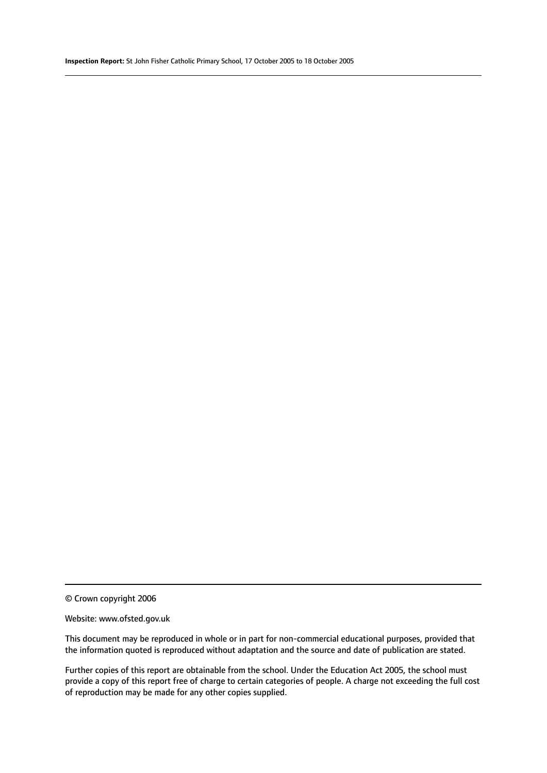© Crown copyright 2006

#### Website: www.ofsted.gov.uk

This document may be reproduced in whole or in part for non-commercial educational purposes, provided that the information quoted is reproduced without adaptation and the source and date of publication are stated.

Further copies of this report are obtainable from the school. Under the Education Act 2005, the school must provide a copy of this report free of charge to certain categories of people. A charge not exceeding the full cost of reproduction may be made for any other copies supplied.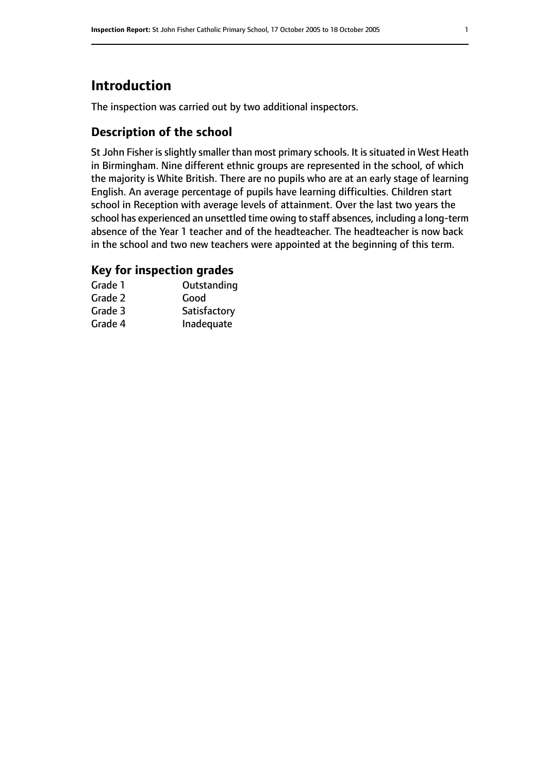# **Introduction**

The inspection was carried out by two additional inspectors.

# **Description of the school**

St John Fisher is slightly smaller than most primary schools. It is situated in West Heath in Birmingham. Nine different ethnic groups are represented in the school, of which the majority is White British. There are no pupils who are at an early stage of learning English. An average percentage of pupils have learning difficulties. Children start school in Reception with average levels of attainment. Over the last two years the school has experienced an unsettled time owing to staff absences, including a long-term absence of the Year 1 teacher and of the headteacher. The headteacher is now back in the school and two new teachers were appointed at the beginning of this term.

## **Key for inspection grades**

| Grade 1 | Outstanding  |
|---------|--------------|
| Grade 2 | Good         |
| Grade 3 | Satisfactory |
| Grade 4 | Inadequate   |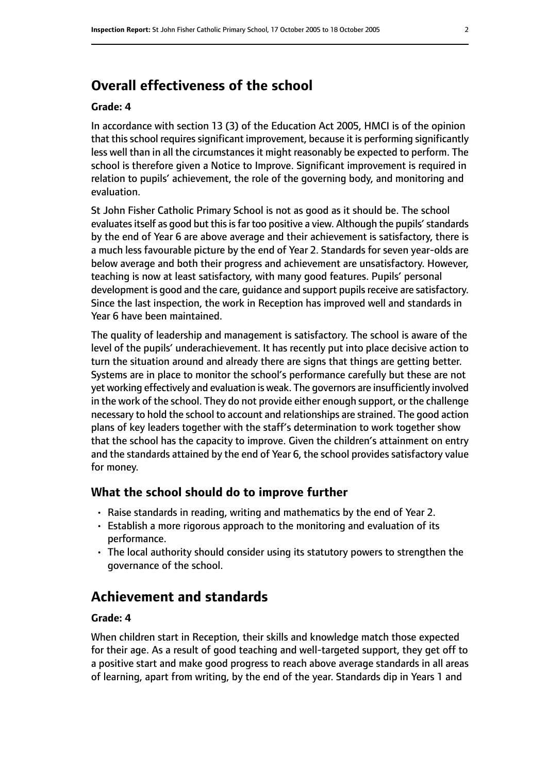# **Overall effectiveness of the school**

#### **Grade: 4**

In accordance with section 13 (3) of the Education Act 2005, HMCI is of the opinion that this school requires significant improvement, because it is performing significantly less well than in all the circumstances it might reasonably be expected to perform. The school is therefore given a Notice to Improve. Significant improvement is required in relation to pupils' achievement, the role of the governing body, and monitoring and evaluation.

St John Fisher Catholic Primary School is not as good as it should be. The school evaluates itself as good but this is far too positive a view. Although the pupils' standards by the end of Year 6 are above average and their achievement is satisfactory, there is a much less favourable picture by the end of Year 2. Standards for seven year-olds are below average and both their progress and achievement are unsatisfactory. However, teaching is now at least satisfactory, with many good features. Pupils' personal development is good and the care, quidance and support pupils receive are satisfactory. Since the last inspection, the work in Reception has improved well and standards in Year 6 have been maintained.

The quality of leadership and management is satisfactory. The school is aware of the level of the pupils' underachievement. It has recently put into place decisive action to turn the situation around and already there are signs that things are getting better. Systems are in place to monitor the school's performance carefully but these are not yet working effectively and evaluation is weak. The governors are insufficiently involved in the work of the school. They do not provide either enough support, or the challenge necessary to hold the school to account and relationships are strained. The good action plans of key leaders together with the staff's determination to work together show that the school has the capacity to improve. Given the children's attainment on entry and the standards attained by the end of Year 6, the school provides satisfactory value for money.

#### **What the school should do to improve further**

- Raise standards in reading, writing and mathematics by the end of Year 2.
- Establish a more rigorous approach to the monitoring and evaluation of its performance.
- The local authority should consider using its statutory powers to strengthen the governance of the school.

# **Achievement and standards**

#### **Grade: 4**

When children start in Reception, their skills and knowledge match those expected for their age. As a result of good teaching and well-targeted support, they get off to a positive start and make good progress to reach above average standards in all areas of learning, apart from writing, by the end of the year. Standards dip in Years 1 and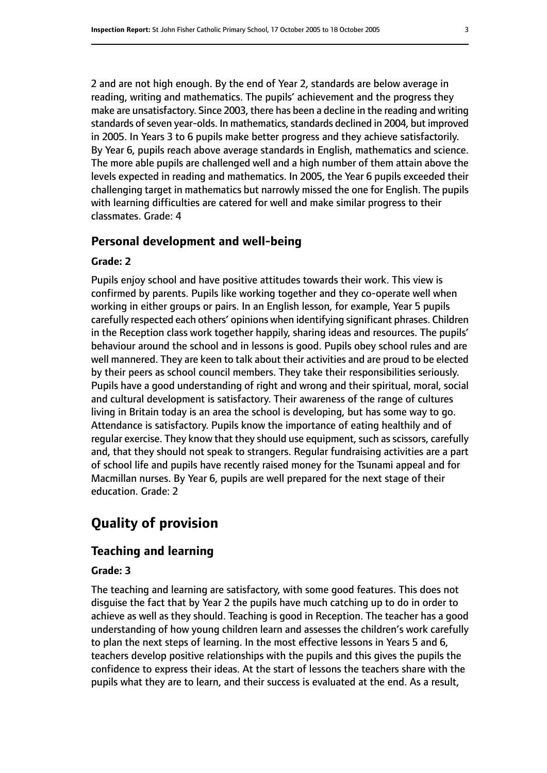2 and are not high enough. By the end of Year 2, standards are below average in reading, writing and mathematics. The pupils' achievement and the progress they make are unsatisfactory. Since 2003, there has been a decline in the reading and writing standards of seven year-olds. In mathematics, standards declined in 2004, but improved in 2005. In Years 3 to 6 pupils make better progress and they achieve satisfactorily. By Year 6, pupils reach above average standards in English, mathematics and science. The more able pupils are challenged well and a high number of them attain above the levels expected in reading and mathematics. In 2005, the Year 6 pupils exceeded their challenging target in mathematics but narrowly missed the one for English. The pupils with learning difficulties are catered for well and make similar progress to their classmates. Grade: 4

#### **Personal development and well-being**

#### **Grade: 2**

Pupils enjoy school and have positive attitudes towards their work. This view is confirmed by parents. Pupils like working together and they co-operate well when working in either groups or pairs. In an English lesson, for example, Year 5 pupils carefully respected each others' opinions when identifying significant phrases. Children in the Reception class work together happily, sharing ideas and resources. The pupils' behaviour around the school and in lessons is good. Pupils obey school rules and are well mannered. They are keen to talk about their activities and are proud to be elected by their peers as school council members. They take their responsibilities seriously. Pupils have a good understanding of right and wrong and their spiritual, moral, social and cultural development is satisfactory. Their awareness of the range of cultures living in Britain today is an area the school is developing, but has some way to go. Attendance is satisfactory. Pupils know the importance of eating healthily and of regular exercise. They know that they should use equipment, such as scissors, carefully and, that they should not speak to strangers. Regular fundraising activities are a part of school life and pupils have recently raised money for the Tsunami appeal and for Macmillan nurses. By Year 6, pupils are well prepared for the next stage of their education. Grade: 2

# **Quality of provision**

#### **Teaching and learning**

#### **Grade: 3**

The teaching and learning are satisfactory, with some good features. This does not disguise the fact that by Year 2 the pupils have much catching up to do in order to achieve as well as they should. Teaching is good in Reception. The teacher has a good understanding of how young children learn and assesses the children's work carefully to plan the next steps of learning. In the most effective lessons in Years 5 and 6, teachers develop positive relationships with the pupils and this gives the pupils the confidence to express their ideas. At the start of lessons the teachers share with the pupils what they are to learn, and their success is evaluated at the end. As a result,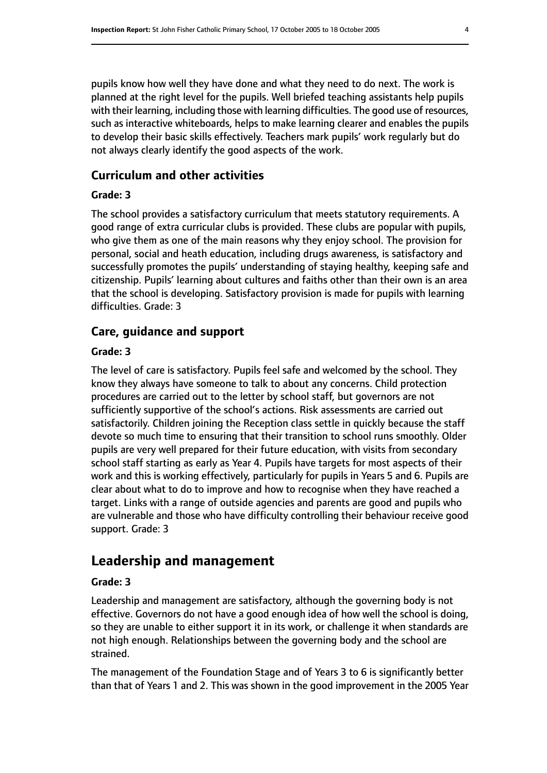pupils know how well they have done and what they need to do next. The work is planned at the right level for the pupils. Well briefed teaching assistants help pupils with their learning, including those with learning difficulties. The good use of resources, such as interactive whiteboards, helps to make learning clearer and enables the pupils to develop their basic skills effectively. Teachers mark pupils' work regularly but do not always clearly identify the good aspects of the work.

### **Curriculum and other activities**

#### **Grade: 3**

The school provides a satisfactory curriculum that meets statutory requirements. A good range of extra curricular clubs is provided. These clubs are popular with pupils, who give them as one of the main reasons why they enjoy school. The provision for personal, social and heath education, including drugs awareness, is satisfactory and successfully promotes the pupils' understanding of staying healthy, keeping safe and citizenship. Pupils' learning about cultures and faiths other than their own is an area that the school is developing. Satisfactory provision is made for pupils with learning difficulties. Grade: 3

# **Care, guidance and support**

#### **Grade: 3**

The level of care is satisfactory. Pupils feel safe and welcomed by the school. They know they always have someone to talk to about any concerns. Child protection procedures are carried out to the letter by school staff, but governors are not sufficiently supportive of the school's actions. Risk assessments are carried out satisfactorily. Children joining the Reception class settle in quickly because the staff devote so much time to ensuring that their transition to school runs smoothly. Older pupils are very well prepared for their future education, with visits from secondary school staff starting as early as Year 4. Pupils have targets for most aspects of their work and this is working effectively, particularly for pupils in Years 5 and 6. Pupils are clear about what to do to improve and how to recognise when they have reached a target. Links with a range of outside agencies and parents are good and pupils who are vulnerable and those who have difficulty controlling their behaviour receive good support. Grade: 3

# **Leadership and management**

#### **Grade: 3**

Leadership and management are satisfactory, although the governing body is not effective. Governors do not have a good enough idea of how well the school is doing, so they are unable to either support it in its work, or challenge it when standards are not high enough. Relationships between the governing body and the school are strained.

The management of the Foundation Stage and of Years 3 to 6 is significantly better than that of Years 1 and 2. This was shown in the good improvement in the 2005 Year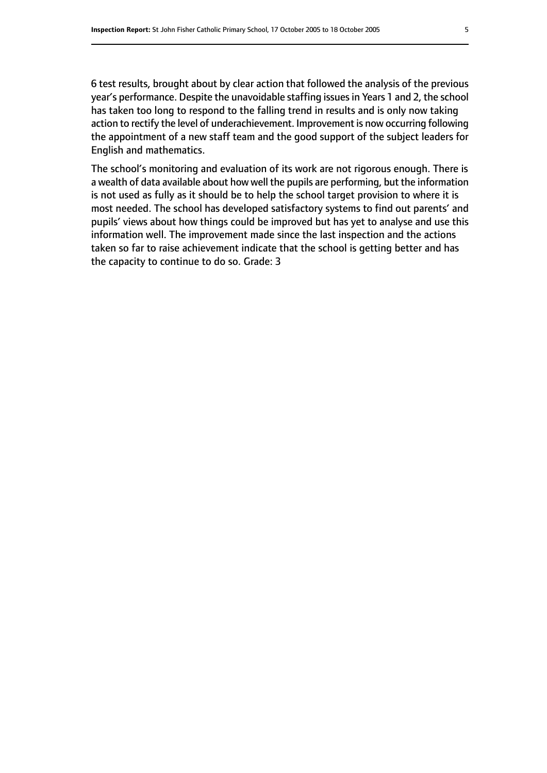6 test results, brought about by clear action that followed the analysis of the previous year's performance. Despite the unavoidable staffing issuesin Years 1 and 2, the school has taken too long to respond to the falling trend in results and is only now taking action to rectify the level of underachievement. Improvement is now occurring following the appointment of a new staff team and the good support of the subject leaders for English and mathematics.

The school's monitoring and evaluation of its work are not rigorous enough. There is a wealth of data available about how well the pupils are performing, but the information is not used as fully as it should be to help the school target provision to where it is most needed. The school has developed satisfactory systems to find out parents' and pupils' views about how things could be improved but has yet to analyse and use this information well. The improvement made since the last inspection and the actions taken so far to raise achievement indicate that the school is getting better and has the capacity to continue to do so. Grade: 3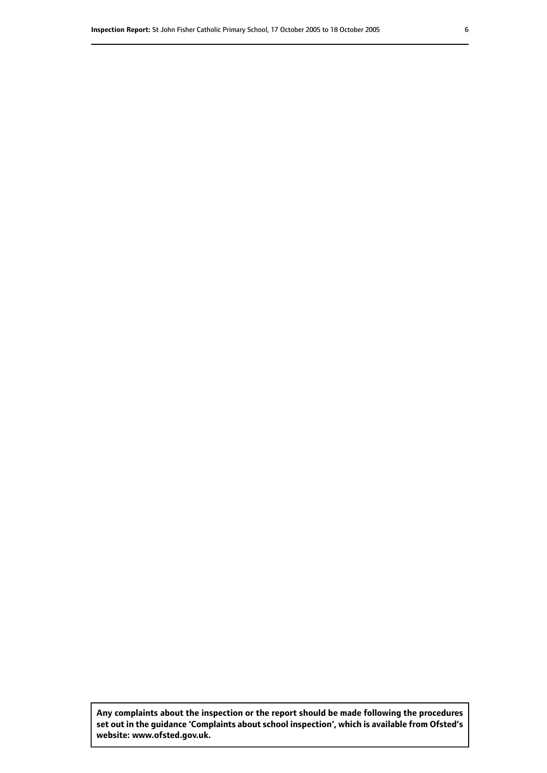**Any complaints about the inspection or the report should be made following the procedures set out inthe guidance 'Complaints about school inspection', whichis available from Ofsted's website: www.ofsted.gov.uk.**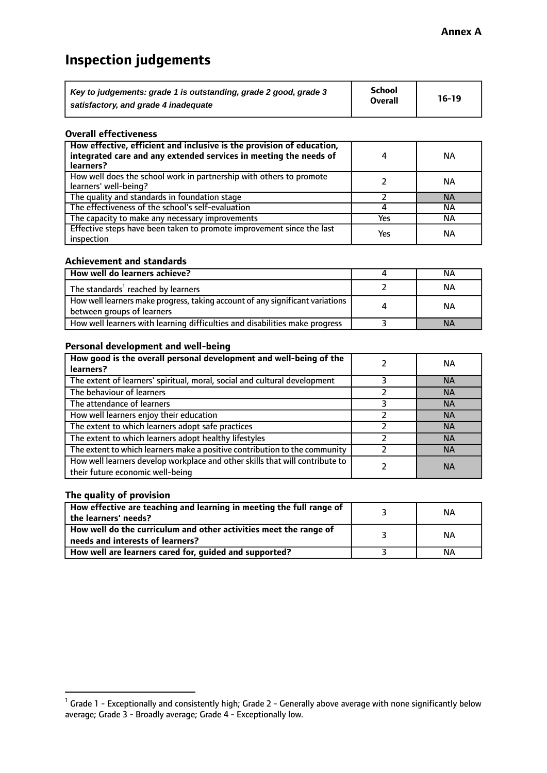# **Inspection judgements**

| Key to judgements: grade 1 is outstanding, grade 2 good, grade 3 | <b>School</b>  | $16-19$ |
|------------------------------------------------------------------|----------------|---------|
| satisfactory, and grade 4 inadequate                             | <b>Overall</b> |         |

#### **Overall effectiveness**

| How effective, efficient and inclusive is the provision of education,<br>integrated care and any extended services in meeting the needs of<br>learners? | 4   | <b>NA</b> |
|---------------------------------------------------------------------------------------------------------------------------------------------------------|-----|-----------|
| How well does the school work in partnership with others to promote<br>learners' well-being?                                                            |     | NА        |
| The quality and standards in foundation stage                                                                                                           |     | <b>NA</b> |
| The effectiveness of the school's self-evaluation                                                                                                       |     | ΝA        |
| The capacity to make any necessary improvements                                                                                                         | Yes | NА        |
| Effective steps have been taken to promote improvement since the last<br>inspection                                                                     | Yes | ΝA        |

#### **Achievement and standards**

| How well do learners achieve?                                                                               | NА        |
|-------------------------------------------------------------------------------------------------------------|-----------|
| The standards <sup>1</sup> reached by learners                                                              | NА        |
| How well learners make progress, taking account of any significant variations<br>between groups of learners | <b>NA</b> |
| How well learners with learning difficulties and disabilities make progress                                 | <b>NA</b> |

#### **Personal development and well-being**

| How good is the overall personal development and well-being of the<br>learners?                                  | ΝA        |
|------------------------------------------------------------------------------------------------------------------|-----------|
| The extent of learners' spiritual, moral, social and cultural development                                        | <b>NA</b> |
| The behaviour of learners                                                                                        | <b>NA</b> |
| The attendance of learners                                                                                       | <b>NA</b> |
| How well learners enjoy their education                                                                          | <b>NA</b> |
| The extent to which learners adopt safe practices                                                                | <b>NA</b> |
| The extent to which learners adopt healthy lifestyles                                                            | <b>NA</b> |
| The extent to which learners make a positive contribution to the community                                       | <b>NA</b> |
| How well learners develop workplace and other skills that will contribute to<br>their future economic well-being | <b>NA</b> |

#### **The quality of provision**

| How effective are teaching and learning in meeting the full range of<br>the learners' needs?          | ΝA |
|-------------------------------------------------------------------------------------------------------|----|
| How well do the curriculum and other activities meet the range of<br>needs and interests of learners? | NА |
| How well are learners cared for, guided and supported?                                                | ΝA |

 $^1$  Grade 1 - Exceptionally and consistently high; Grade 2 - Generally above average with none significantly below average; Grade 3 - Broadly average; Grade 4 - Exceptionally low.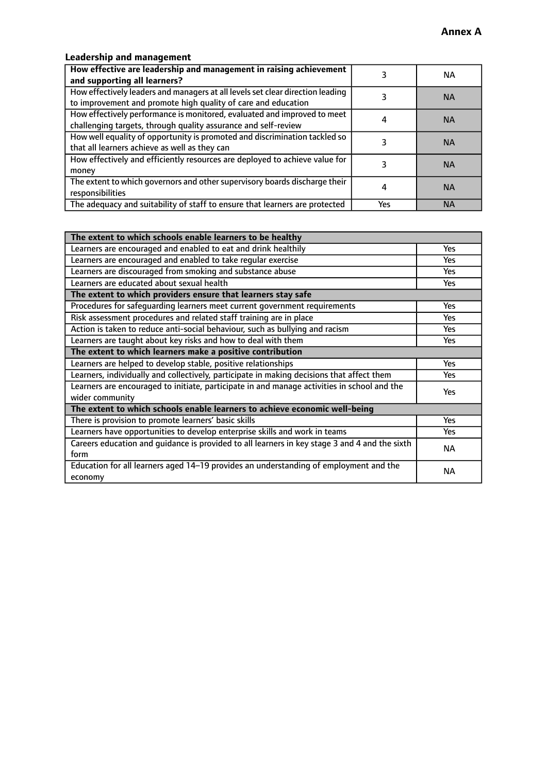# **Leadership and management**

| How effective are leadership and management in raising achievement<br>and supporting all learners?                                              |     | NA.       |
|-------------------------------------------------------------------------------------------------------------------------------------------------|-----|-----------|
| How effectively leaders and managers at all levels set clear direction leading<br>to improvement and promote high quality of care and education |     | <b>NA</b> |
| How effectively performance is monitored, evaluated and improved to meet<br>challenging targets, through quality assurance and self-review      |     | <b>NA</b> |
| How well equality of opportunity is promoted and discrimination tackled so<br>that all learners achieve as well as they can                     |     | <b>NA</b> |
| How effectively and efficiently resources are deployed to achieve value for<br>money                                                            |     | <b>NA</b> |
| The extent to which governors and other supervisory boards discharge their<br>responsibilities                                                  |     | <b>NA</b> |
| The adequacy and suitability of staff to ensure that learners are protected                                                                     | Yes | <b>NA</b> |

| The extent to which schools enable learners to be healthy                                     |            |
|-----------------------------------------------------------------------------------------------|------------|
| Learners are encouraged and enabled to eat and drink healthily                                | Yes        |
| Learners are encouraged and enabled to take regular exercise                                  | Yes        |
| Learners are discouraged from smoking and substance abuse                                     | <b>Yes</b> |
| Learners are educated about sexual health                                                     | <b>Yes</b> |
| The extent to which providers ensure that learners stay safe                                  |            |
| Procedures for safequarding learners meet current government requirements                     | Yes        |
| Risk assessment procedures and related staff training are in place                            | Yes        |
| Action is taken to reduce anti-social behaviour, such as bullying and racism                  | Yes        |
| Learners are taught about key risks and how to deal with them                                 |            |
| The extent to which learners make a positive contribution                                     |            |
| Learners are helped to develop stable, positive relationships                                 | Yes        |
| Learners, individually and collectively, participate in making decisions that affect them     | Yes        |
| Learners are encouraged to initiate, participate in and manage activities in school and the   | <b>Yes</b> |
| wider community                                                                               |            |
| The extent to which schools enable learners to achieve economic well-being                    |            |
| There is provision to promote learners' basic skills                                          | Yes        |
| Learners have opportunities to develop enterprise skills and work in teams                    | <b>Yes</b> |
| Careers education and guidance is provided to all learners in key stage 3 and 4 and the sixth | <b>NA</b>  |
| form                                                                                          |            |
| Education for all learners aged 14-19 provides an understanding of employment and the         | NА         |
| economy                                                                                       |            |